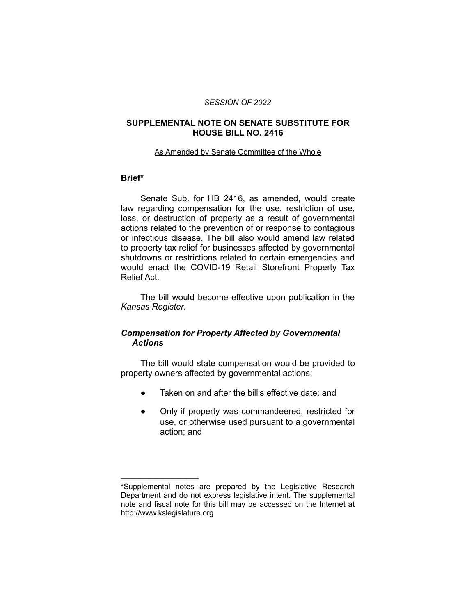### *SESSION OF 2022*

### **SUPPLEMENTAL NOTE ON SENATE SUBSTITUTE FOR HOUSE BILL NO. 2416**

#### As Amended by Senate Committee of the Whole

### **Brief\***

Senate Sub. for HB 2416, as amended, would create law regarding compensation for the use, restriction of use, loss, or destruction of property as a result of governmental actions related to the prevention of or response to contagious or infectious disease. The bill also would amend law related to property tax relief for businesses affected by governmental shutdowns or restrictions related to certain emergencies and would enact the COVID-19 Retail Storefront Property Tax Relief Act.

The bill would become effective upon publication in the *Kansas Register.*

# *Compensation for Property Affected by Governmental Actions*

The bill would state compensation would be provided to property owners affected by governmental actions:

- Taken on and after the bill's effective date; and
- Only if property was commandeered, restricted for use, or otherwise used pursuant to a governmental action; and

 $\overline{\phantom{a}}$  , where  $\overline{\phantom{a}}$  , where  $\overline{\phantom{a}}$ 

<sup>\*</sup>Supplemental notes are prepared by the Legislative Research Department and do not express legislative intent. The supplemental note and fiscal note for this bill may be accessed on the Internet at http://www.kslegislature.org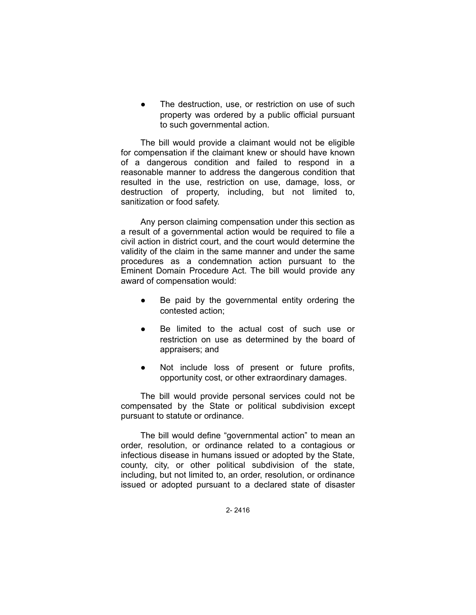The destruction, use, or restriction on use of such property was ordered by a public official pursuant to such governmental action.

The bill would provide a claimant would not be eligible for compensation if the claimant knew or should have known of a dangerous condition and failed to respond in a reasonable manner to address the dangerous condition that resulted in the use, restriction on use, damage, loss, or destruction of property, including, but not limited to, sanitization or food safety.

Any person claiming compensation under this section as a result of a governmental action would be required to file a civil action in district court, and the court would determine the validity of the claim in the same manner and under the same procedures as a condemnation action pursuant to the Eminent Domain Procedure Act. The bill would provide any award of compensation would:

- Be paid by the governmental entity ordering the contested action;
- Be limited to the actual cost of such use or restriction on use as determined by the board of appraisers; and
- Not include loss of present or future profits, opportunity cost, or other extraordinary damages.

The bill would provide personal services could not be compensated by the State or political subdivision except pursuant to statute or ordinance.

The bill would define "governmental action" to mean an order, resolution, or ordinance related to a contagious or infectious disease in humans issued or adopted by the State, county, city, or other political subdivision of the state, including, but not limited to, an order, resolution, or ordinance issued or adopted pursuant to a declared state of disaster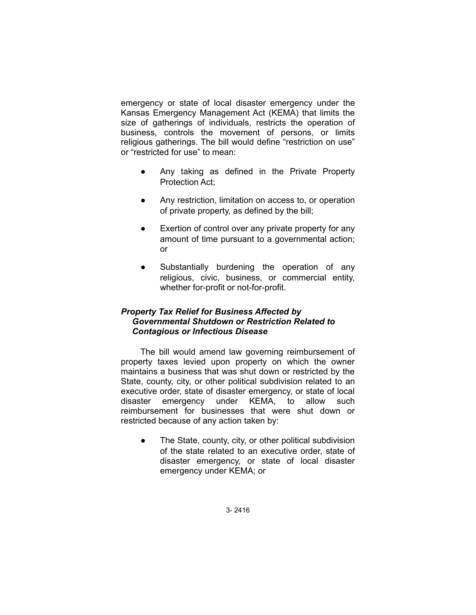emergency or state of local disaster emergency under the Kansas Emergency Management Act (KEMA) that limits the size of gatherings of individuals, restricts the operation of business, controls the movement of persons, or limits religious gatherings. The bill would define "restriction on use" or "restricted for use" to mean:

- Any taking as defined in the Private Property Protection Act;
- Any restriction, limitation on access to, or operation of private property, as defined by the bill;
- Exertion of control over any private property for any amount of time pursuant to a governmental action; or
- Substantially burdening the operation of any religious, civic, business, or commercial entity, whether for-profit or not-for-profit.

# *Property Tax Relief for Business Affected by Governmental Shutdown or Restriction Related to Contagious or Infectious Disease*

The bill would amend law governing reimbursement of property taxes levied upon property on which the owner maintains a business that was shut down or restricted by the State, county, city, or other political subdivision related to an executive order, state of disaster emergency, or state of local disaster emergency under KEMA, to allow such reimbursement for businesses that were shut down or restricted because of any action taken by:

The State, county, city, or other political subdivision of the state related to an executive order, state of disaster emergency, or state of local disaster emergency under KEMA; or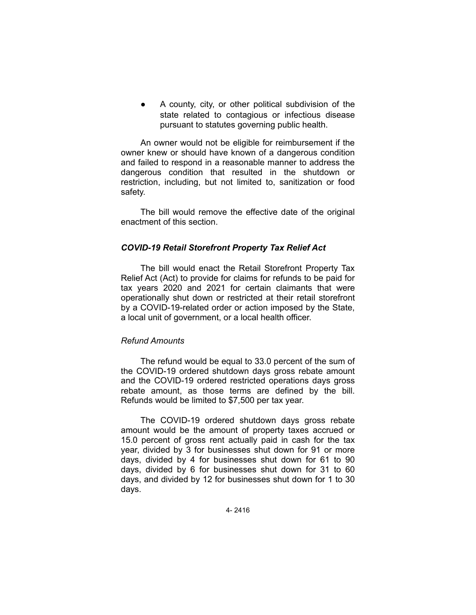A county, city, or other political subdivision of the state related to contagious or infectious disease pursuant to statutes governing public health.

An owner would not be eligible for reimbursement if the owner knew or should have known of a dangerous condition and failed to respond in a reasonable manner to address the dangerous condition that resulted in the shutdown or restriction, including, but not limited to, sanitization or food safety.

The bill would remove the effective date of the original enactment of this section.

## *COVID-19 Retail Storefront Property Tax Relief Act*

The bill would enact the Retail Storefront Property Tax Relief Act (Act) to provide for claims for refunds to be paid for tax years 2020 and 2021 for certain claimants that were operationally shut down or restricted at their retail storefront by a COVID-19-related order or action imposed by the State, a local unit of government, or a local health officer.

## *Refund Amounts*

The refund would be equal to 33.0 percent of the sum of the COVID-19 ordered shutdown days gross rebate amount and the COVID-19 ordered restricted operations days gross rebate amount, as those terms are defined by the bill. Refunds would be limited to \$7,500 per tax year.

The COVID-19 ordered shutdown days gross rebate amount would be the amount of property taxes accrued or 15.0 percent of gross rent actually paid in cash for the tax year, divided by 3 for businesses shut down for 91 or more days, divided by 4 for businesses shut down for 61 to 90 days, divided by 6 for businesses shut down for 31 to 60 days, and divided by 12 for businesses shut down for 1 to 30 days.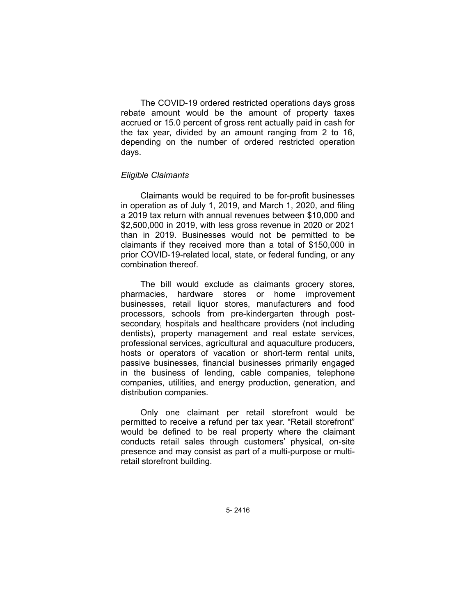The COVID-19 ordered restricted operations days gross rebate amount would be the amount of property taxes accrued or 15.0 percent of gross rent actually paid in cash for the tax year, divided by an amount ranging from 2 to 16, depending on the number of ordered restricted operation days.

### *Eligible Claimants*

Claimants would be required to be for-profit businesses in operation as of July 1, 2019, and March 1, 2020, and filing a 2019 tax return with annual revenues between \$10,000 and \$2,500,000 in 2019, with less gross revenue in 2020 or 2021 than in 2019. Businesses would not be permitted to be claimants if they received more than a total of \$150,000 in prior COVID-19-related local, state, or federal funding, or any combination thereof.

The bill would exclude as claimants grocery stores, pharmacies, hardware stores or home improvement businesses, retail liquor stores, manufacturers and food processors, schools from pre-kindergarten through postsecondary, hospitals and healthcare providers (not including dentists), property management and real estate services, professional services, agricultural and aquaculture producers, hosts or operators of vacation or short-term rental units, passive businesses, financial businesses primarily engaged in the business of lending, cable companies, telephone companies, utilities, and energy production, generation, and distribution companies.

Only one claimant per retail storefront would be permitted to receive a refund per tax year. "Retail storefront" would be defined to be real property where the claimant conducts retail sales through customers' physical, on-site presence and may consist as part of a multi-purpose or multiretail storefront building.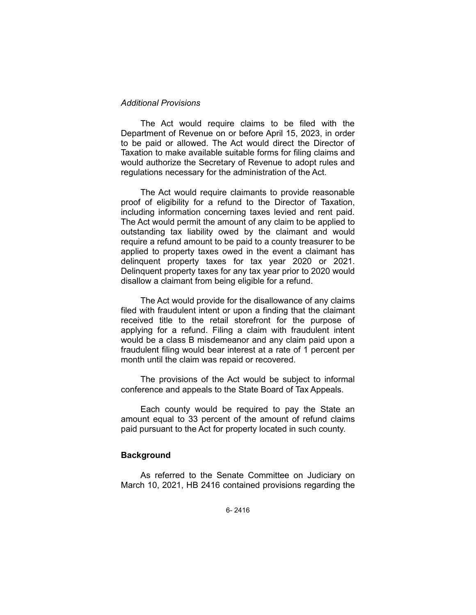### *Additional Provisions*

The Act would require claims to be filed with the Department of Revenue on or before April 15, 2023, in order to be paid or allowed. The Act would direct the Director of Taxation to make available suitable forms for filing claims and would authorize the Secretary of Revenue to adopt rules and regulations necessary for the administration of the Act.

The Act would require claimants to provide reasonable proof of eligibility for a refund to the Director of Taxation, including information concerning taxes levied and rent paid. The Act would permit the amount of any claim to be applied to outstanding tax liability owed by the claimant and would require a refund amount to be paid to a county treasurer to be applied to property taxes owed in the event a claimant has delinquent property taxes for tax year 2020 or 2021. Delinquent property taxes for any tax year prior to 2020 would disallow a claimant from being eligible for a refund.

The Act would provide for the disallowance of any claims filed with fraudulent intent or upon a finding that the claimant received title to the retail storefront for the purpose of applying for a refund. Filing a claim with fraudulent intent would be a class B misdemeanor and any claim paid upon a fraudulent filing would bear interest at a rate of 1 percent per month until the claim was repaid or recovered.

The provisions of the Act would be subject to informal conference and appeals to the State Board of Tax Appeals.

Each county would be required to pay the State an amount equal to 33 percent of the amount of refund claims paid pursuant to the Act for property located in such county.

#### **Background**

As referred to the Senate Committee on Judiciary on March 10, 2021, HB 2416 contained provisions regarding the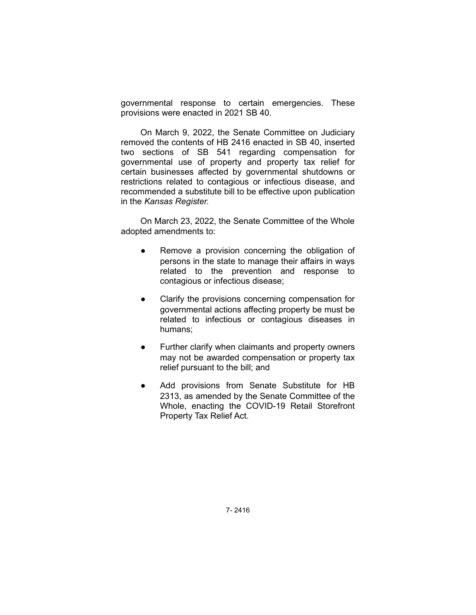governmental response to certain emergencies. These provisions were enacted in 2021 SB 40.

On March 9, 2022, the Senate Committee on Judiciary removed the contents of HB 2416 enacted in SB 40, inserted two sections of SB 541 regarding compensation for governmental use of property and property tax relief for certain businesses affected by governmental shutdowns or restrictions related to contagious or infectious disease, and recommended a substitute bill to be effective upon publication in the *Kansas Register.*

On March 23, 2022, the Senate Committee of the Whole adopted amendments to:

- Remove a provision concerning the obligation of persons in the state to manage their affairs in ways related to the prevention and response to contagious or infectious disease;
- Clarify the provisions concerning compensation for governmental actions affecting property be must be related to infectious or contagious diseases in humans;
- Further clarify when claimants and property owners may not be awarded compensation or property tax relief pursuant to the bill; and
- Add provisions from Senate Substitute for HB 2313, as amended by the Senate Committee of the Whole, enacting the COVID-19 Retail Storefront Property Tax Relief Act.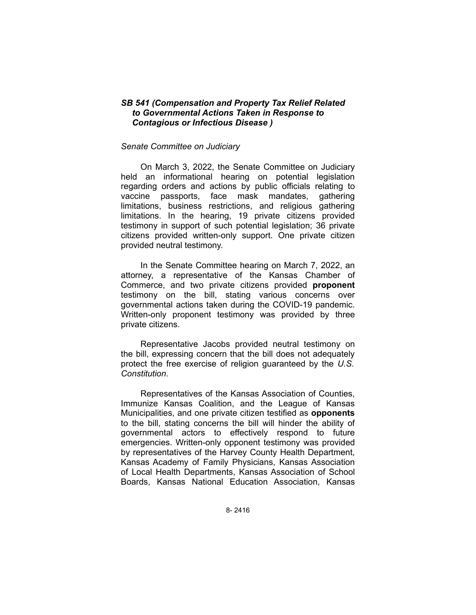### *SB 541 (Compensation and Property Tax Relief Related to Governmental Actions Taken in Response to Contagious or Infectious Disease )*

#### *Senate Committee on Judiciary*

On March 3, 2022, the Senate Committee on Judiciary held an informational hearing on potential legislation regarding orders and actions by public officials relating to vaccine passports, face mask mandates, gathering limitations, business restrictions, and religious gathering limitations. In the hearing, 19 private citizens provided testimony in support of such potential legislation; 36 private citizens provided written-only support. One private citizen provided neutral testimony.

In the Senate Committee hearing on March 7, 2022, an attorney, a representative of the Kansas Chamber of Commerce, and two private citizens provided **proponent** testimony on the bill, stating various concerns over governmental actions taken during the COVID-19 pandemic. Written-only proponent testimony was provided by three private citizens.

Representative Jacobs provided neutral testimony on the bill, expressing concern that the bill does not adequately protect the free exercise of religion guaranteed by the *U.S. Constitution*.

Representatives of the Kansas Association of Counties, Immunize Kansas Coalition, and the League of Kansas Municipalities, and one private citizen testified as **opponents** to the bill, stating concerns the bill will hinder the ability of governmental actors to effectively respond to future emergencies. Written-only opponent testimony was provided by representatives of the Harvey County Health Department, Kansas Academy of Family Physicians, Kansas Association of Local Health Departments, Kansas Association of School Boards, Kansas National Education Association, Kansas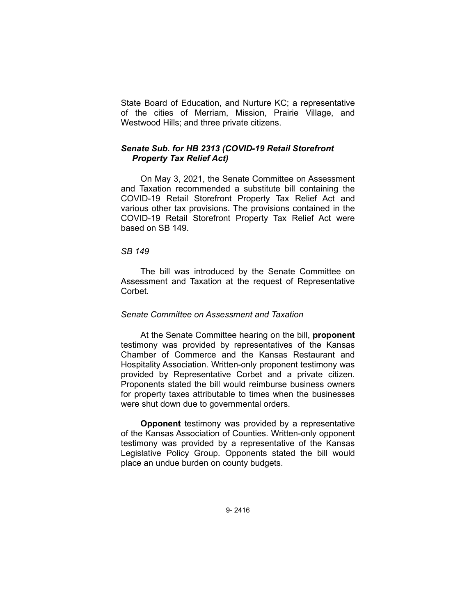State Board of Education, and Nurture KC; a representative of the cities of Merriam, Mission, Prairie Village, and Westwood Hills; and three private citizens.

### *Senate Sub. for HB 2313 (COVID-19 Retail Storefront Property Tax Relief Act)*

On May 3, 2021, the Senate Committee on Assessment and Taxation recommended a substitute bill containing the COVID-19 Retail Storefront Property Tax Relief Act and various other tax provisions. The provisions contained in the COVID-19 Retail Storefront Property Tax Relief Act were based on SB 149.

#### *SB 149*

The bill was introduced by the Senate Committee on Assessment and Taxation at the request of Representative Corbet.

## *Senate Committee on Assessment and Taxation*

At the Senate Committee hearing on the bill, **proponent** testimony was provided by representatives of the Kansas Chamber of Commerce and the Kansas Restaurant and Hospitality Association. Written-only proponent testimony was provided by Representative Corbet and a private citizen. Proponents stated the bill would reimburse business owners for property taxes attributable to times when the businesses were shut down due to governmental orders.

**Opponent** testimony was provided by a representative of the Kansas Association of Counties. Written-only opponent testimony was provided by a representative of the Kansas Legislative Policy Group. Opponents stated the bill would place an undue burden on county budgets.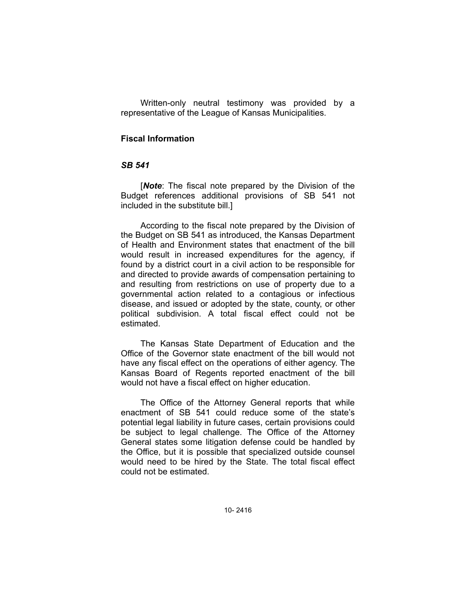Written-only neutral testimony was provided by a representative of the League of Kansas Municipalities.

### **Fiscal Information**

#### *SB 541*

[*Note*: The fiscal note prepared by the Division of the Budget references additional provisions of SB 541 not included in the substitute bill.]

According to the fiscal note prepared by the Division of the Budget on SB 541 as introduced, the Kansas Department of Health and Environment states that enactment of the bill would result in increased expenditures for the agency, if found by a district court in a civil action to be responsible for and directed to provide awards of compensation pertaining to and resulting from restrictions on use of property due to a governmental action related to a contagious or infectious disease, and issued or adopted by the state, county, or other political subdivision. A total fiscal effect could not be estimated.

The Kansas State Department of Education and the Office of the Governor state enactment of the bill would not have any fiscal effect on the operations of either agency. The Kansas Board of Regents reported enactment of the bill would not have a fiscal effect on higher education.

The Office of the Attorney General reports that while enactment of SB 541 could reduce some of the state's potential legal liability in future cases, certain provisions could be subject to legal challenge. The Office of the Attorney General states some litigation defense could be handled by the Office, but it is possible that specialized outside counsel would need to be hired by the State. The total fiscal effect could not be estimated.

10- 2416